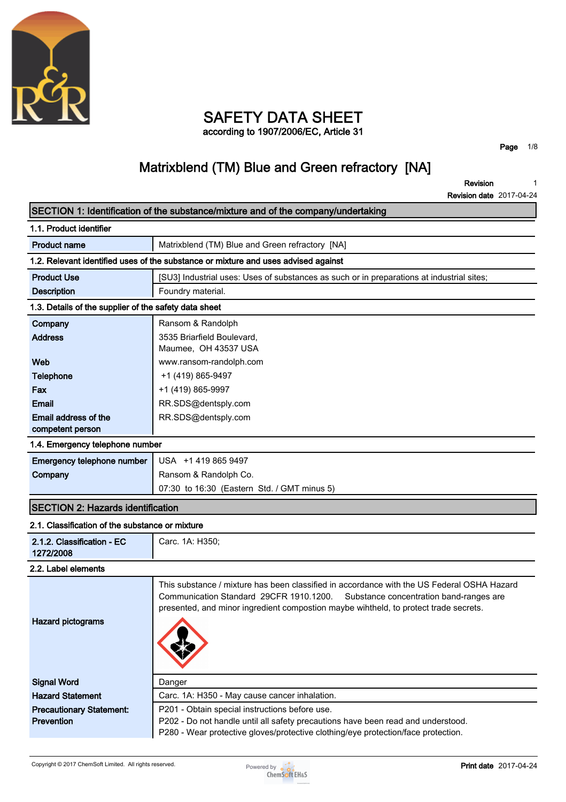

### **SAFETY DATA SHEET according to 1907/2006/EC, Article 31**

**Page 1/8**

## **Matrixblend (TM) Blue and Green refractory [NA]**

**Revision Revision date 2017-04-24 1**

|                                                       | SECTION 1: Identification of the substance/mixture and of the company/undertaking                                                                                                                                                                                        |
|-------------------------------------------------------|--------------------------------------------------------------------------------------------------------------------------------------------------------------------------------------------------------------------------------------------------------------------------|
| 1.1. Product identifier                               |                                                                                                                                                                                                                                                                          |
| <b>Product name</b>                                   | Matrixblend (TM) Blue and Green refractory [NA]                                                                                                                                                                                                                          |
|                                                       | 1.2. Relevant identified uses of the substance or mixture and uses advised against                                                                                                                                                                                       |
| <b>Product Use</b>                                    | [SU3] Industrial uses: Uses of substances as such or in preparations at industrial sites;                                                                                                                                                                                |
| <b>Description</b>                                    | Foundry material.                                                                                                                                                                                                                                                        |
| 1.3. Details of the supplier of the safety data sheet |                                                                                                                                                                                                                                                                          |
| Company                                               | Ransom & Randolph                                                                                                                                                                                                                                                        |
| <b>Address</b>                                        | 3535 Briarfield Boulevard,                                                                                                                                                                                                                                               |
|                                                       | Maumee, OH 43537 USA                                                                                                                                                                                                                                                     |
| Web                                                   | www.ransom-randolph.com                                                                                                                                                                                                                                                  |
| Telephone                                             | +1 (419) 865-9497                                                                                                                                                                                                                                                        |
| Fax                                                   | +1 (419) 865-9997                                                                                                                                                                                                                                                        |
| Email                                                 | RR.SDS@dentsply.com                                                                                                                                                                                                                                                      |
| Email address of the                                  | RR.SDS@dentsply.com                                                                                                                                                                                                                                                      |
| competent person                                      |                                                                                                                                                                                                                                                                          |
| 1.4. Emergency telephone number                       |                                                                                                                                                                                                                                                                          |
| Emergency telephone number                            | USA +1 419 865 9497                                                                                                                                                                                                                                                      |
| Company                                               | Ransom & Randolph Co.                                                                                                                                                                                                                                                    |
|                                                       | 07:30 to 16:30 (Eastern Std. / GMT minus 5)                                                                                                                                                                                                                              |
| <b>SECTION 2: Hazards identification</b>              |                                                                                                                                                                                                                                                                          |
| 2.1. Classification of the substance or mixture       |                                                                                                                                                                                                                                                                          |
| 2.1.2. Classification - EC<br>1272/2008               | Carc. 1A: H350;                                                                                                                                                                                                                                                          |
| 2.2. Label elements                                   |                                                                                                                                                                                                                                                                          |
| <b>Hazard pictograms</b>                              | This substance / mixture has been classified in accordance with the US Federal OSHA Hazard<br>Communication Standard 29CFR 1910.1200.<br>Substance concentration band-ranges are<br>presented, and minor ingredient compostion maybe wihtheld, to protect trade secrets. |
| <b>Signal Word</b>                                    | Danger                                                                                                                                                                                                                                                                   |
| <b>Hazard Statement</b>                               | Carc. 1A: H350 - May cause cancer inhalation.                                                                                                                                                                                                                            |
| <b>Precautionary Statement:</b>                       | P201 - Obtain special instructions before use.                                                                                                                                                                                                                           |
| <b>Prevention</b>                                     | P202 - Do not handle until all safety precautions have been read and understood.                                                                                                                                                                                         |
|                                                       | P280 - Wear protective gloves/protective clothing/eye protection/face protection.                                                                                                                                                                                        |

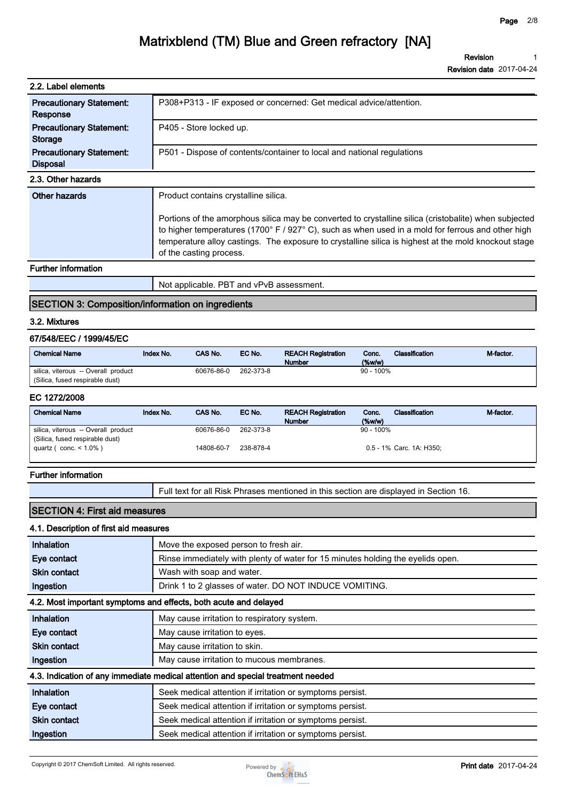**Revision Revision date 2017-04-24 1**

| 2.2. Label elements                                |                                                                                                                                                                                                                                                                                                                                                                                       |
|----------------------------------------------------|---------------------------------------------------------------------------------------------------------------------------------------------------------------------------------------------------------------------------------------------------------------------------------------------------------------------------------------------------------------------------------------|
| <b>Precautionary Statement:</b><br>Response        | P308+P313 - IF exposed or concerned: Get medical advice/attention.                                                                                                                                                                                                                                                                                                                    |
| <b>Precautionary Statement:</b><br>Storage         | P405 - Store locked up.                                                                                                                                                                                                                                                                                                                                                               |
| <b>Precautionary Statement:</b><br><b>Disposal</b> | P501 - Dispose of contents/container to local and national regulations                                                                                                                                                                                                                                                                                                                |
| 2.3. Other hazards                                 |                                                                                                                                                                                                                                                                                                                                                                                       |
| Other hazards                                      | Product contains crystalline silica.<br>Portions of the amorphous silica may be converted to crystalline silica (cristobalite) when subjected<br>to higher temperatures (1700° F / 927° C), such as when used in a mold for ferrous and other high<br>temperature alloy castings. The exposure to crystalline silica is highest at the mold knockout stage<br>of the casting process. |
| <b>Further information</b>                         |                                                                                                                                                                                                                                                                                                                                                                                       |

## **Not applicable. PBT and vPvB assessment.**

### **SECTION 3: Composition/information on ingredients**

#### **3.2. Mixtures**

### **67/548/EEC / 1999/45/EC**

| <b>Chemical Name</b>                | Index No. | <b>CAS No.</b> | EC No.    | <b>REACH Registration</b><br><b>Number</b> | Conc.<br>$(\%w/w)$ | Classification | M-factor. |
|-------------------------------------|-----------|----------------|-----------|--------------------------------------------|--------------------|----------------|-----------|
| silica, viterous -- Overall product |           | 60676-86-0     | 262-373-8 |                                            | $90 - 100\%$       |                |           |
| (Silica, fused respirable dust)     |           |                |           |                                            |                    |                |           |

#### **EC 1272/2008**

| <b>Chemical Name</b>                | Index No. | CAS No.    | EC No.    | <b>REACH Registration</b> | Classification<br>Conc.  | M-factor. |
|-------------------------------------|-----------|------------|-----------|---------------------------|--------------------------|-----------|
|                                     |           |            |           | <b>Number</b>             | $(\%w/w)$                |           |
| silica, viterous -- Overall product |           | 60676-86-0 | 262-373-8 |                           | $90 - 100\%$             |           |
| (Silica, fused respirable dust)     |           |            |           |                           |                          |           |
| quartz ( $conc. < 1.0\%$ )          |           | 14808-60-7 | 238-878-4 |                           | 0.5 - 1% Carc. 1A: H350: |           |
|                                     |           |            |           |                           |                          |           |

#### **Further information**

**Full text for all Risk Phrases mentioned in this section are displayed in Section 16.**

### **SECTION 4: First aid measures**

#### **4.1. Description of first aid measures**

| Inhalation          | Move the exposed person to fresh air.                                           |
|---------------------|---------------------------------------------------------------------------------|
| Eye contact         | Rinse immediately with plenty of water for 15 minutes holding the eyelids open. |
| <b>Skin contact</b> | Wash with soap and water.                                                       |
| Ingestion           | Drink 1 to 2 glasses of water. DO NOT INDUCE VOMITING.                          |
|                     | 4.2. Most important symptoms and effects, both acute and delayed                |
| Inhalation          | May cause irritation to respiratory system.                                     |
| Eye contact         | May cause irritation to eyes.                                                   |
| <b>Skin contact</b> | May cause irritation to skin.                                                   |
| Ingestion           | May cause irritation to mucous membranes.                                       |
|                     | 4.3. Indication of any immediate medical attention and special treatment needed |
| <b>Inhalation</b>   | Seek medical attention if irritation or symptoms persist.                       |
| Eye contact         | Seek medical attention if irritation or symptoms persist.                       |
| <b>Skin contact</b> | Seek medical attention if irritation or symptoms persist.                       |
| Ingestion           | Seek medical attention if irritation or symptoms persist.                       |

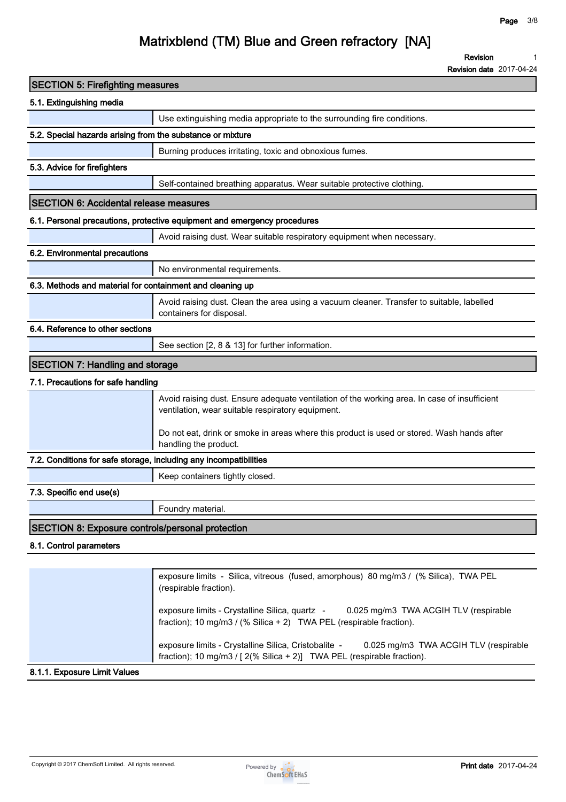**1**

## **Matrixblend (TM) Blue and Green refractory [NA]**

**Revision**

**Revision date 2017-04-24**

| <b>SECTION 5: Firefighting measures</b>                           |                                                                                                                                                                          |
|-------------------------------------------------------------------|--------------------------------------------------------------------------------------------------------------------------------------------------------------------------|
| 5.1. Extinguishing media                                          |                                                                                                                                                                          |
|                                                                   | Use extinguishing media appropriate to the surrounding fire conditions.                                                                                                  |
| 5.2. Special hazards arising from the substance or mixture        |                                                                                                                                                                          |
|                                                                   | Burning produces irritating, toxic and obnoxious fumes.                                                                                                                  |
| 5.3. Advice for firefighters                                      |                                                                                                                                                                          |
|                                                                   | Self-contained breathing apparatus. Wear suitable protective clothing.                                                                                                   |
| <b>SECTION 6: Accidental release measures</b>                     |                                                                                                                                                                          |
|                                                                   | 6.1. Personal precautions, protective equipment and emergency procedures                                                                                                 |
|                                                                   | Avoid raising dust. Wear suitable respiratory equipment when necessary.                                                                                                  |
| 6.2. Environmental precautions                                    |                                                                                                                                                                          |
|                                                                   | No environmental requirements.                                                                                                                                           |
| 6.3. Methods and material for containment and cleaning up         |                                                                                                                                                                          |
|                                                                   | Avoid raising dust. Clean the area using a vacuum cleaner. Transfer to suitable, labelled<br>containers for disposal.                                                    |
| 6.4. Reference to other sections                                  |                                                                                                                                                                          |
|                                                                   | See section [2, 8 & 13] for further information.                                                                                                                         |
| <b>SECTION 7: Handling and storage</b>                            |                                                                                                                                                                          |
| 7.1. Precautions for safe handling                                |                                                                                                                                                                          |
|                                                                   | Avoid raising dust. Ensure adequate ventilation of the working area. In case of insufficient<br>ventilation, wear suitable respiratory equipment.                        |
|                                                                   | Do not eat, drink or smoke in areas where this product is used or stored. Wash hands after<br>handling the product.                                                      |
| 7.2. Conditions for safe storage, including any incompatibilities |                                                                                                                                                                          |
|                                                                   | Keep containers tightly closed.                                                                                                                                          |
| 7.3. Specific end use(s)                                          |                                                                                                                                                                          |
|                                                                   | Foundry material.                                                                                                                                                        |
| <b>SECTION 8: Exposure controls/personal protection</b>           |                                                                                                                                                                          |
| 8.1. Control parameters                                           |                                                                                                                                                                          |
|                                                                   |                                                                                                                                                                          |
|                                                                   | exposure limits - Silica, vitreous (fused, amorphous) 80 mg/m3 / (% Silica), TWA PEL<br>(respirable fraction).                                                           |
|                                                                   | exposure limits - Crystalline Silica, quartz -<br>0.025 mg/m3 TWA ACGIH TLV (respirable<br>fraction); 10 mg/m3 / (% Silica + 2) TWA PEL (respirable fraction).           |
|                                                                   | exposure limits - Crystalline Silica, Cristobalite -<br>0.025 mg/m3 TWA ACGIH TLV (respirable<br>fraction); 10 mg/m3 / [ 2(% Silica + 2)] TWA PEL (respirable fraction). |

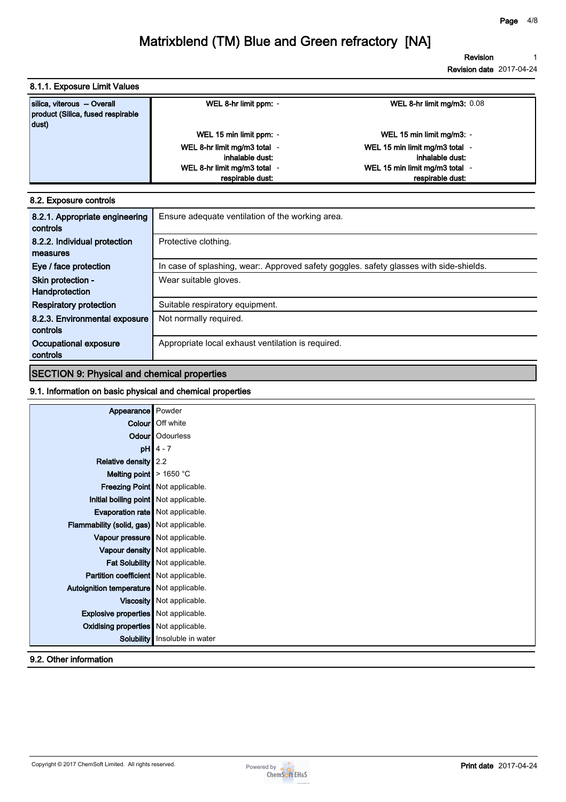**Revision 1**

**Revision date 2017-04-24**

**8.1.1. Exposure Limit Values**

| silica, viterous - Overall<br>product (Silica, fused respirable<br>dust) | WEL 8-hr limit ppm: -                           | WEL 8-hr limit mg/m3: $0.08$                      |
|--------------------------------------------------------------------------|-------------------------------------------------|---------------------------------------------------|
|                                                                          | WEL 15 min limit ppm: -                         | WEL 15 min limit mg/m3: -                         |
|                                                                          | WEL 8-hr limit mg/m3 total -<br>inhalable dust: | WEL 15 min limit mg/m3 total -<br>inhalable dust: |
|                                                                          | WEL 8-hr limit mg/m3 total -                    | WEL 15 min limit mg/m3 total -                    |
|                                                                          | respirable dust:                                | respirable dust:                                  |

#### **8.2. Exposure controls**

| 8.2.1. Appropriate engineering<br>controls | Ensure adequate ventilation of the working area.                                       |
|--------------------------------------------|----------------------------------------------------------------------------------------|
| 8.2.2. Individual protection               | Protective clothing.                                                                   |
| measures                                   |                                                                                        |
| Eye / face protection                      | In case of splashing, wear. Approved safety goggles. safety glasses with side-shields. |
| Skin protection -                          | Wear suitable gloves.                                                                  |
| Handprotection                             |                                                                                        |
| <b>Respiratory protection</b>              | Suitable respiratory equipment.                                                        |
| 8.2.3. Environmental exposure              | Not normally required.                                                                 |
| controls                                   |                                                                                        |
| Occupational exposure                      | Appropriate local exhaust ventilation is required.                                     |
| controls                                   |                                                                                        |

### **SECTION 9: Physical and chemical properties**

### **9.1. Information on basic physical and chemical properties**

| Appearance Powder                           |                                  |
|---------------------------------------------|----------------------------------|
|                                             | Colour   Off white               |
|                                             | <b>Odour</b> Odourless           |
|                                             | $pH$ 4 - 7                       |
| Relative density 2.2                        |                                  |
| Melting point $\blacktriangleright$ 1650 °C |                                  |
|                                             | Freezing Point   Not applicable. |
| Initial boiling point Not applicable.       |                                  |
|                                             |                                  |
| Evaporation rate   Not applicable.          |                                  |
| Flammability (solid, gas) Not applicable.   |                                  |
| Vapour pressure   Not applicable.           |                                  |
|                                             | Vapour density   Not applicable. |
|                                             | Fat Solubility   Not applicable. |
| Partition coefficient   Not applicable.     |                                  |
| Autoignition temperature   Not applicable.  |                                  |
|                                             | Viscosity   Not applicable.      |
| <b>Explosive properties</b> Not applicable. |                                  |
| <b>Oxidising properties</b> Not applicable. |                                  |
| Solubility                                  | Insoluble in water               |

### **9.2. Other information**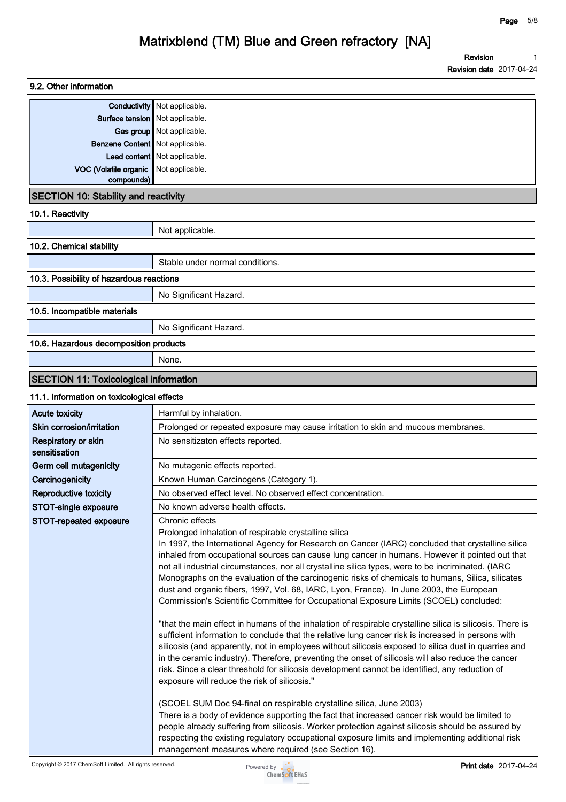| 9.2. Other information                       |                                                                                                           |
|----------------------------------------------|-----------------------------------------------------------------------------------------------------------|
| Conductivity                                 | Not applicable.                                                                                           |
| Surface tension   Not applicable.            |                                                                                                           |
|                                              | Gas group Not applicable.                                                                                 |
| <b>Benzene Content</b> Not applicable.       |                                                                                                           |
|                                              | Lead content   Not applicable.                                                                            |
| VOC (Volatile organic                        | Not applicable.                                                                                           |
| compounds)                                   |                                                                                                           |
| <b>SECTION 10: Stability and reactivity</b>  |                                                                                                           |
| 10.1. Reactivity                             |                                                                                                           |
|                                              | Not applicable.                                                                                           |
| 10.2. Chemical stability                     |                                                                                                           |
|                                              | Stable under normal conditions.                                                                           |
| 10.3. Possibility of hazardous reactions     |                                                                                                           |
|                                              | No Significant Hazard.                                                                                    |
| 10.5. Incompatible materials                 |                                                                                                           |
|                                              | No Significant Hazard.                                                                                    |
| 10.6. Hazardous decomposition products       |                                                                                                           |
|                                              | None.                                                                                                     |
| <b>SECTION 11: Toxicological information</b> |                                                                                                           |
| 11.1. Information on toxicological effects   |                                                                                                           |
| <b>Acute toxicity</b>                        | Harmful by inhalation.                                                                                    |
| Skin corrosion/irritation                    | Prolonged or repeated exposure may cause irritation to skin and mucous membranes.                         |
| Respiratory or skin<br>sensitisation         | No sensitizaton effects reported.                                                                         |
| Germ cell mutagenicity                       | No mutagenic effects reported.                                                                            |
| Carcinogenicity                              | Known Human Carcinogens (Category 1).                                                                     |
| <b>Reproductive toxicity</b>                 | No observed effect level. No observed effect concentration.                                               |
| STOT-single exposure                         | No known adverse health effects.                                                                          |
| STOT-repeated exposure                       | Chronic effects                                                                                           |
|                                              | Prolonged inhalation of respirable crystalline silica                                                     |
|                                              | In 1997, the International Agency for Research on Cancer (IARC) concluded that crystalline silica         |
|                                              | inhaled from occupational sources can cause lung cancer in humans. However it pointed out that            |
|                                              | not all industrial circumstances, nor all crystalline silica types, were to be incriminated. (IARC        |
|                                              | Monographs on the evaluation of the carcinogenic risks of chemicals to humans, Silica, silicates          |
|                                              | dust and organic fibers, 1997, Vol. 68, IARC, Lyon, France). In June 2003, the European                   |
|                                              | Commission's Scientific Committee for Occupational Exposure Limits (SCOEL) concluded:                     |
|                                              | "that the main effect in humans of the inhalation of respirable crystalline silica is silicosis. There is |
|                                              | sufficient information to conclude that the relative lung cancer risk is increased in persons with        |
|                                              | silicosis (and apparently, not in employees without silicosis exposed to silica dust in quarries and      |
|                                              | in the ceramic industry). Therefore, preventing the onset of silicosis will also reduce the cancer        |
|                                              | risk. Since a clear threshold for silicosis development cannot be identified, any reduction of            |
|                                              | exposure will reduce the risk of silicosis."                                                              |
|                                              | (SCOEL SUM Doc 94-final on respirable crystalline silica, June 2003)                                      |
|                                              | There is a body of evidence supporting the fact that increased cancer risk would be limited to            |
|                                              | people already suffering from silicosis. Worker protection against silicosis should be assured by         |
|                                              | respecting the existing regulatory occupational exposure limits and implementing additional risk          |
|                                              | management measures where required (see Section 16).                                                      |

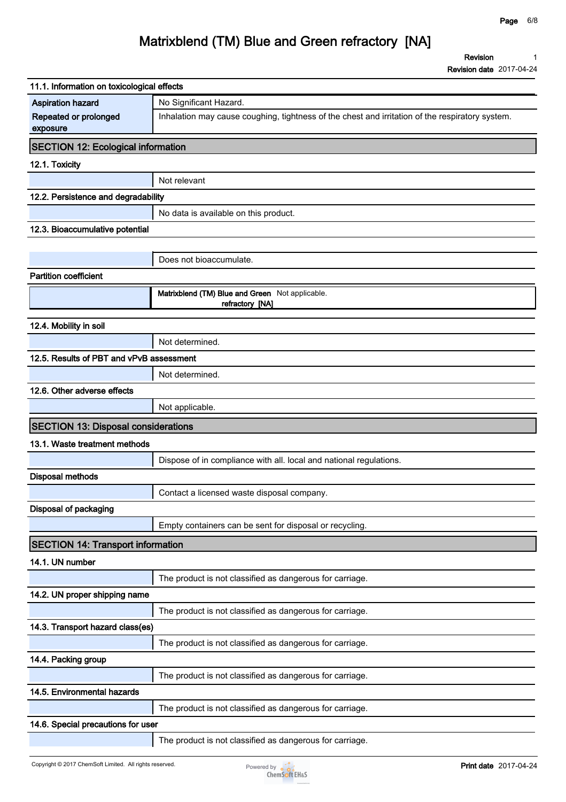**Revision 1**

**Revision date 2017-04-24**

| 11.1. Information on toxicological effects |                                                                                                 |
|--------------------------------------------|-------------------------------------------------------------------------------------------------|
| <b>Aspiration hazard</b>                   | No Significant Hazard.                                                                          |
| Repeated or prolonged<br>exposure          | Inhalation may cause coughing, tightness of the chest and irritation of the respiratory system. |
| <b>SECTION 12: Ecological information</b>  |                                                                                                 |
| 12.1. Toxicity                             |                                                                                                 |
|                                            | Not relevant                                                                                    |
| 12.2. Persistence and degradability        |                                                                                                 |
|                                            | No data is available on this product.                                                           |
| 12.3. Bioaccumulative potential            |                                                                                                 |
|                                            |                                                                                                 |
|                                            | Does not bioaccumulate.                                                                         |
| <b>Partition coefficient</b>               |                                                                                                 |
|                                            | Matrixblend (TM) Blue and Green Not applicable.<br>refractory [NA]                              |
|                                            |                                                                                                 |
| 12.4. Mobility in soil                     |                                                                                                 |
|                                            | Not determined.                                                                                 |
| 12.5. Results of PBT and vPvB assessment   |                                                                                                 |
|                                            | Not determined.                                                                                 |
| 12.6. Other adverse effects                |                                                                                                 |
|                                            | Not applicable.                                                                                 |
|                                            |                                                                                                 |
| <b>SECTION 13: Disposal considerations</b> |                                                                                                 |
| 13.1. Waste treatment methods              |                                                                                                 |
|                                            | Dispose of in compliance with all. local and national regulations.                              |
| <b>Disposal methods</b>                    |                                                                                                 |
|                                            | Contact a licensed waste disposal company.                                                      |
| Disposal of packaging                      |                                                                                                 |
|                                            | Empty containers can be sent for disposal or recycling.                                         |
| <b>SECTION 14: Transport information</b>   |                                                                                                 |
| 14.1. UN number                            |                                                                                                 |
|                                            | The product is not classified as dangerous for carriage.                                        |
| 14.2. UN proper shipping name              |                                                                                                 |
|                                            | The product is not classified as dangerous for carriage.                                        |
| 14.3. Transport hazard class(es)           |                                                                                                 |
|                                            | The product is not classified as dangerous for carriage.                                        |
| 14.4. Packing group                        |                                                                                                 |
|                                            | The product is not classified as dangerous for carriage.                                        |
| 14.5. Environmental hazards                |                                                                                                 |
|                                            | The product is not classified as dangerous for carriage.                                        |
| 14.6. Special precautions for user         |                                                                                                 |

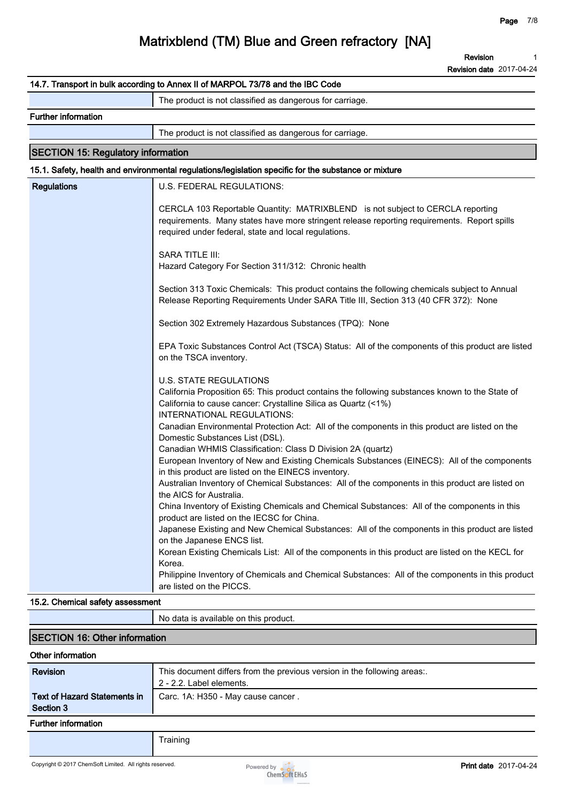**Revision 1**

**Revision date 2017-04-24**

|                                           | 14.7. Transport in bulk according to Annex II of MARPOL 73/78 and the IBC Code                                                                                                                                                                                                                                                                                                                                                                                                                                                                                                                                                                                                                 |
|-------------------------------------------|------------------------------------------------------------------------------------------------------------------------------------------------------------------------------------------------------------------------------------------------------------------------------------------------------------------------------------------------------------------------------------------------------------------------------------------------------------------------------------------------------------------------------------------------------------------------------------------------------------------------------------------------------------------------------------------------|
|                                           | The product is not classified as dangerous for carriage.                                                                                                                                                                                                                                                                                                                                                                                                                                                                                                                                                                                                                                       |
| <b>Further information</b>                |                                                                                                                                                                                                                                                                                                                                                                                                                                                                                                                                                                                                                                                                                                |
|                                           | The product is not classified as dangerous for carriage.                                                                                                                                                                                                                                                                                                                                                                                                                                                                                                                                                                                                                                       |
| <b>SECTION 15: Regulatory information</b> |                                                                                                                                                                                                                                                                                                                                                                                                                                                                                                                                                                                                                                                                                                |
|                                           | 15.1. Safety, health and environmental regulations/legislation specific for the substance or mixture                                                                                                                                                                                                                                                                                                                                                                                                                                                                                                                                                                                           |
| <b>Regulations</b>                        | U.S. FEDERAL REGULATIONS:                                                                                                                                                                                                                                                                                                                                                                                                                                                                                                                                                                                                                                                                      |
|                                           | CERCLA 103 Reportable Quantity: MATRIXBLEND is not subject to CERCLA reporting<br>requirements. Many states have more stringent release reporting requirements. Report spills<br>required under federal, state and local regulations.                                                                                                                                                                                                                                                                                                                                                                                                                                                          |
|                                           | <b>SARA TITLE III:</b><br>Hazard Category For Section 311/312: Chronic health                                                                                                                                                                                                                                                                                                                                                                                                                                                                                                                                                                                                                  |
|                                           | Section 313 Toxic Chemicals: This product contains the following chemicals subject to Annual<br>Release Reporting Requirements Under SARA Title III, Section 313 (40 CFR 372): None                                                                                                                                                                                                                                                                                                                                                                                                                                                                                                            |
|                                           | Section 302 Extremely Hazardous Substances (TPQ): None                                                                                                                                                                                                                                                                                                                                                                                                                                                                                                                                                                                                                                         |
|                                           | EPA Toxic Substances Control Act (TSCA) Status: All of the components of this product are listed<br>on the TSCA inventory.                                                                                                                                                                                                                                                                                                                                                                                                                                                                                                                                                                     |
|                                           | <b>U.S. STATE REGULATIONS</b><br>California Proposition 65: This product contains the following substances known to the State of<br>California to cause cancer: Crystalline Silica as Quartz (<1%)<br>INTERNATIONAL REGULATIONS:<br>Canadian Environmental Protection Act: All of the components in this product are listed on the<br>Domestic Substances List (DSL).<br>Canadian WHMIS Classification: Class D Division 2A (quartz)<br>European Inventory of New and Existing Chemicals Substances (EINECS): All of the components<br>in this product are listed on the EINECS inventory.<br>Australian Inventory of Chemical Substances: All of the components in this product are listed on |
|                                           | the AICS for Australia.<br>China Inventory of Existing Chemicals and Chemical Substances: All of the components in this<br>product are listed on the IECSC for China.<br>Japanese Existing and New Chemical Substances: All of the components in this product are listed<br>on the Japanese ENCS list.<br>Korean Existing Chemicals List: All of the components in this product are listed on the KECL for<br>Korea.<br>Philippine Inventory of Chemicals and Chemical Substances: All of the components in this product<br>are listed on the PICCS.                                                                                                                                           |
| 15.2. Chemical safety assessment          |                                                                                                                                                                                                                                                                                                                                                                                                                                                                                                                                                                                                                                                                                                |

|                                                  | No data is available on this product.                                                                |
|--------------------------------------------------|------------------------------------------------------------------------------------------------------|
| <b>SECTION 16: Other information</b>             |                                                                                                      |
| Other information                                |                                                                                                      |
| <b>Revision</b>                                  | This document differs from the previous version in the following areas:.<br>2 - 2.2. Label elements. |
| <b>Text of Hazard Statements in</b><br>Section 3 | Carc. 1A: H350 - May cause cancer.                                                                   |
| <b>Further information</b>                       |                                                                                                      |
|                                                  | Training                                                                                             |